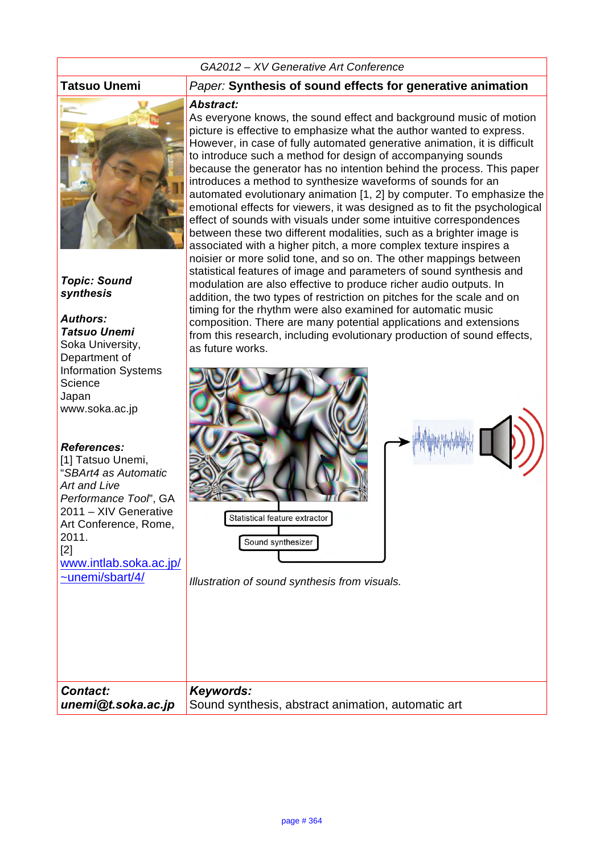#### *GA2012 – XV Generative Art Conference*



*Topic: Sound synthesis*

# *Authors:*

*Tatsuo Unemi* Soka University, Department of Information Systems **Science** Japan www.soka.ac.jp

#### *References:*

[1] Tatsuo Unemi. "*SBArt4 as Automatic Art and Live Performance Tool*", GA 2011 – XIV Generative Art Conference, Rome, 2011. [2] www.intlab.soka.ac.jp/ ~unemi/sbart/4/

#### **Tatsuo Unemi** *Paper:* **Synthesis of sound effects for generative animation**

#### *Abstract:*

As everyone knows, the sound effect and background music of motion picture is effective to emphasize what the author wanted to express. However, in case of fully automated generative animation, it is difficult to introduce such a method for design of accompanying sounds because the generator has no intention behind the process. This paper introduces a method to synthesize waveforms of sounds for an automated evolutionary animation [1, 2] by computer. To emphasize the emotional effects for viewers, it was designed as to fit the psychological effect of sounds with visuals under some intuitive correspondences between these two different modalities, such as a brighter image is associated with a higher pitch, a more complex texture inspires a noisier or more solid tone, and so on. The other mappings between statistical features of image and parameters of sound synthesis and modulation are also effective to produce richer audio outputs. In addition, the two types of restriction on pitches for the scale and on timing for the rhythm were also examined for automatic music composition. There are many potential applications and extensions from this research, including evolutionary production of sound effects, as future works.



*Illustration of sound synthesis from visuals.*

*Contact: unemi@t.soka.ac.jp Keywords:*  Sound synthesis, abstract animation, automatic art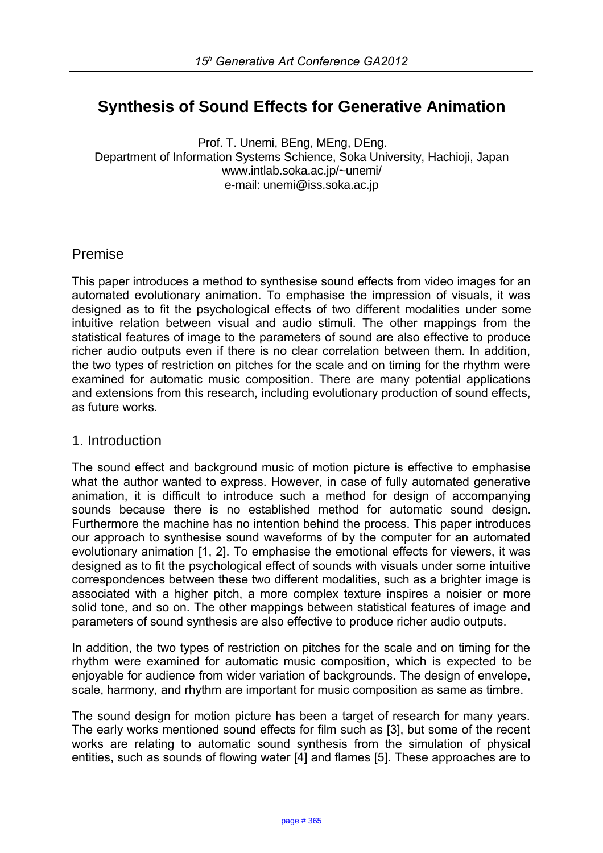# **Synthesis of Sound Effects for Generative Animation**

Prof. T. Unemi, BEng, MEng, DEng. Department of Information Systems Schience, Soka University, Hachioji, Japan www.intlab.soka.ac.jp/~unemi/ e-mail: unemi@iss.soka.ac.jp

## Premise

This paper introduces a method to synthesise sound effects from video images for an automated evolutionary animation. To emphasise the impression of visuals, it was designed as to fit the psychological effects of two different modalities under some intuitive relation between visual and audio stimuli. The other mappings from the statistical features of image to the parameters of sound are also effective to produce richer audio outputs even if there is no clear correlation between them. In addition, the two types of restriction on pitches for the scale and on timing for the rhythm were examined for automatic music composition. There are many potential applications and extensions from this research, including evolutionary production of sound effects, as future works.

### 1. Introduction

The sound effect and background music of motion picture is effective to emphasise what the author wanted to express. However, in case of fully automated generative animation, it is difficult to introduce such a method for design of accompanying sounds because there is no established method for automatic sound design. Furthermore the machine has no intention behind the process. This paper introduces our approach to synthesise sound waveforms of by the computer for an automated evolutionary animation [1, 2]. To emphasise the emotional effects for viewers, it was designed as to fit the psychological effect of sounds with visuals under some intuitive correspondences between these two different modalities, such as a brighter image is associated with a higher pitch, a more complex texture inspires a noisier or more solid tone, and so on. The other mappings between statistical features of image and parameters of sound synthesis are also effective to produce richer audio outputs.

In addition, the two types of restriction on pitches for the scale and on timing for the rhythm were examined for automatic music composition, which is expected to be enjoyable for audience from wider variation of backgrounds. The design of envelope, scale, harmony, and rhythm are important for music composition as same as timbre.

The sound design for motion picture has been a target of research for many years. The early works mentioned sound effects for film such as [3], but some of the recent works are relating to automatic sound synthesis from the simulation of physical entities, such as sounds of flowing water [4] and flames [5]. These approaches are to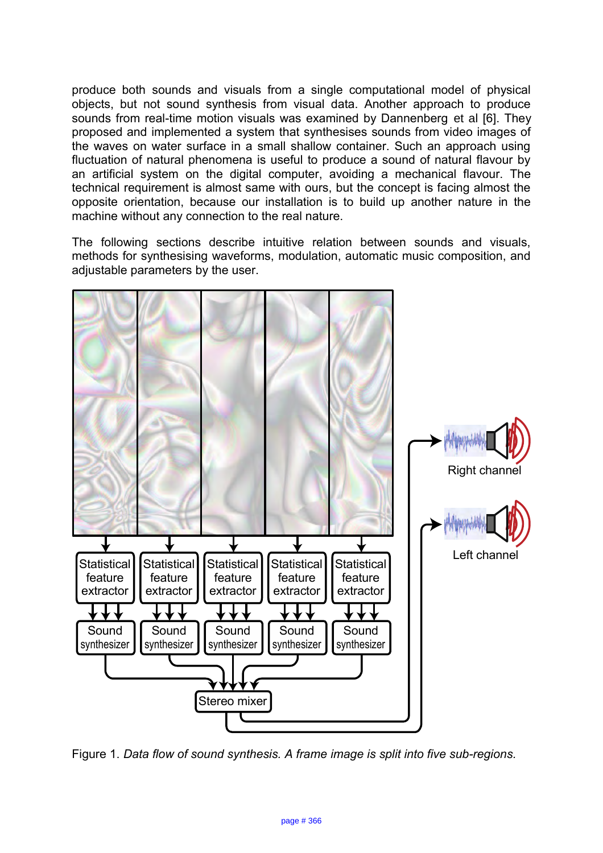produce both sounds and visuals from a single computational model of physical objects, but not sound synthesis from visual data. Another approach to produce sounds from real-time motion visuals was examined by Dannenberg et al [6]. They proposed and implemented a system that synthesises sounds from video images of the waves on water surface in a small shallow container. Such an approach using fluctuation of natural phenomena is useful to produce a sound of natural flavour by an artificial system on the digital computer, avoiding a mechanical flavour. The technical requirement is almost same with ours, but the concept is facing almost the opposite orientation, because our installation is to build up another nature in the machine without any connection to the real nature.

The following sections describe intuitive relation between sounds and visuals, methods for synthesising waveforms, modulation, automatic music composition, and adjustable parameters by the user.



Figure 1. *Data flow of sound synthesis. A frame image is split into five sub-regions.*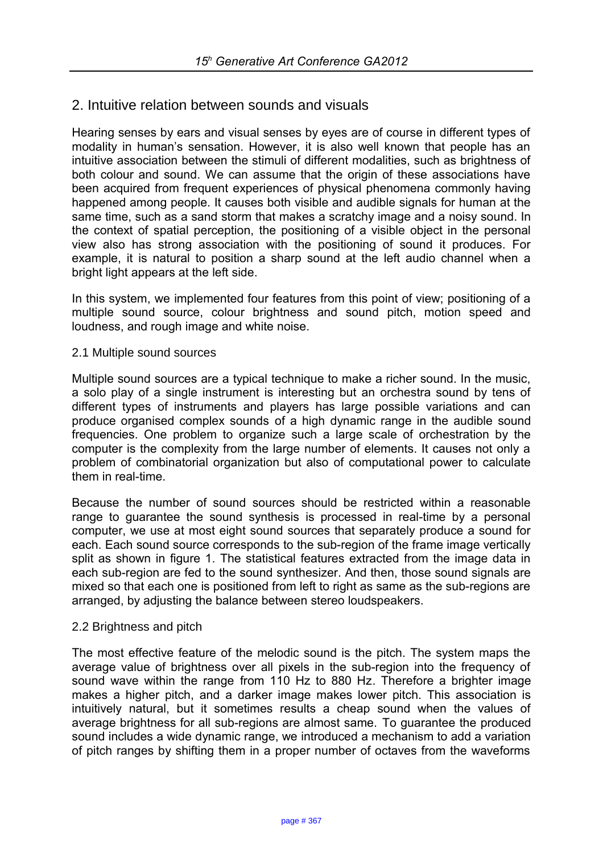# 2. Intuitive relation between sounds and visuals

Hearing senses by ears and visual senses by eyes are of course in different types of modality in human's sensation. However, it is also well known that people has an intuitive association between the stimuli of different modalities, such as brightness of both colour and sound. We can assume that the origin of these associations have been acquired from frequent experiences of physical phenomena commonly having happened among people. It causes both visible and audible signals for human at the same time, such as a sand storm that makes a scratchy image and a noisy sound. In the context of spatial perception, the positioning of a visible object in the personal view also has strong association with the positioning of sound it produces. For example, it is natural to position a sharp sound at the left audio channel when a bright light appears at the left side.

In this system, we implemented four features from this point of view; positioning of a multiple sound source, colour brightness and sound pitch, motion speed and loudness, and rough image and white noise.

#### 2.1 Multiple sound sources

Multiple sound sources are a typical technique to make a richer sound. In the music, a solo play of a single instrument is interesting but an orchestra sound by tens of different types of instruments and players has large possible variations and can produce organised complex sounds of a high dynamic range in the audible sound frequencies. One problem to organize such a large scale of orchestration by the computer is the complexity from the large number of elements. It causes not only a problem of combinatorial organization but also of computational power to calculate them in real-time.

Because the number of sound sources should be restricted within a reasonable range to guarantee the sound synthesis is processed in real-time by a personal computer, we use at most eight sound sources that separately produce a sound for each. Each sound source corresponds to the sub-region of the frame image vertically split as shown in figure 1. The statistical features extracted from the image data in each sub-region are fed to the sound synthesizer. And then, those sound signals are mixed so that each one is positioned from left to right as same as the sub-regions are arranged, by adjusting the balance between stereo loudspeakers.

#### 2.2 Brightness and pitch

The most effective feature of the melodic sound is the pitch. The system maps the average value of brightness over all pixels in the sub-region into the frequency of sound wave within the range from 110 Hz to 880 Hz. Therefore a brighter image makes a higher pitch, and a darker image makes lower pitch. This association is intuitively natural, but it sometimes results a cheap sound when the values of average brightness for all sub-regions are almost same. To guarantee the produced sound includes a wide dynamic range, we introduced a mechanism to add a variation of pitch ranges by shifting them in a proper number of octaves from the waveforms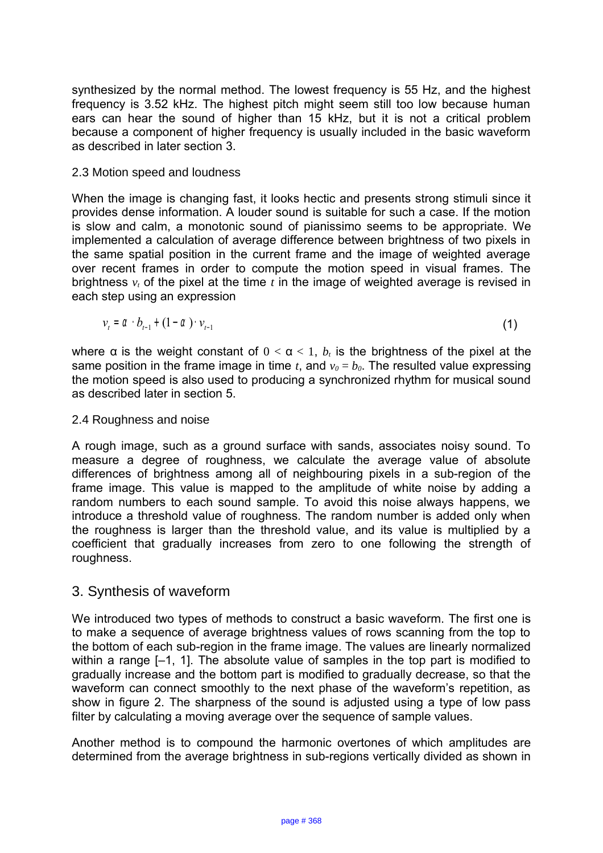synthesized by the normal method. The lowest frequency is 55 Hz, and the highest frequency is 3.52 kHz. The highest pitch might seem still too low because human ears can hear the sound of higher than 15 kHz, but it is not a critical problem because a component of higher frequency is usually included in the basic waveform as described in later section 3.

### 2.3 Motion speed and loudness

When the image is changing fast, it looks hectic and presents strong stimuli since it provides dense information. A louder sound is suitable for such a case. If the motion is slow and calm, a monotonic sound of pianissimo seems to be appropriate. We implemented a calculation of average difference between brightness of two pixels in the same spatial position in the current frame and the image of weighted average over recent frames in order to compute the motion speed in visual frames. The brightness  $v_t$  of the pixel at the time  $t$  in the image of weighted average is revised in each step using an expression

$$
v_{t} = \alpha \cdot b_{t-1} + (1 - \alpha) \cdot v_{t-1} \tag{1}
$$

where  $\alpha$  is the weight constant of  $0 < \alpha < 1$ ,  $b_t$  is the brightness of the pixel at the same position in the frame image in time *t*, and  $v_0 = b_0$ . The resulted value expressing the motion speed is also used to producing a synchronized rhythm for musical sound as described later in section 5.

#### 2.4 Roughness and noise

A rough image, such as a ground surface with sands, associates noisy sound. To measure a degree of roughness, we calculate the average value of absolute differences of brightness among all of neighbouring pixels in a sub-region of the frame image. This value is mapped to the amplitude of white noise by adding a random numbers to each sound sample. To avoid this noise always happens, we introduce a threshold value of roughness. The random number is added only when the roughness is larger than the threshold value, and its value is multiplied by a coefficient that gradually increases from zero to one following the strength of roughness.

# 3. Synthesis of waveform

We introduced two types of methods to construct a basic waveform. The first one is to make a sequence of average brightness values of rows scanning from the top to the bottom of each sub-region in the frame image. The values are linearly normalized within a range  $[-1, 1]$ . The absolute value of samples in the top part is modified to gradually increase and the bottom part is modified to gradually decrease, so that the waveform can connect smoothly to the next phase of the waveform's repetition, as show in figure 2. The sharpness of the sound is adjusted using a type of low pass filter by calculating a moving average over the sequence of sample values.

Another method is to compound the harmonic overtones of which amplitudes are determined from the average brightness in sub-regions vertically divided as shown in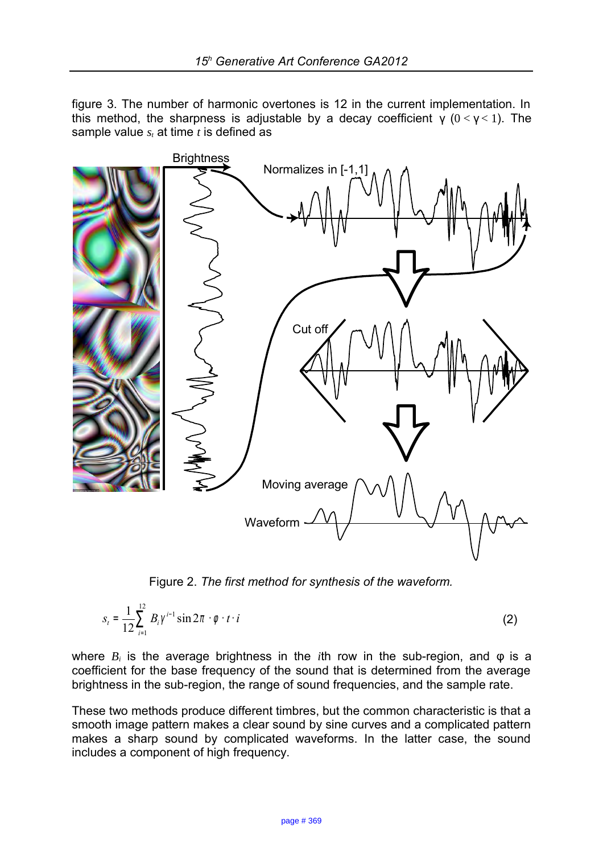figure 3. The number of harmonic overtones is 12 in the current implementation. In this method, the sharpness is adjustable by a decay coefficient  $y(0 < y < 1)$ . The sample value *st* at time *t* is defined as



Figure 2. *The first method for synthesis of the waveform.*

$$
s_{t} = \frac{1}{12} \sum_{i=1}^{12} B_{i} \gamma^{i-1} \sin 2\pi \cdot \phi \cdot t \cdot i
$$
 (2)

where *Bi* is the average brightness in the *i*th row in the sub-region, and φ is a coefficient for the base frequency of the sound that is determined from the average brightness in the sub-region, the range of sound frequencies, and the sample rate.

These two methods produce different timbres, but the common characteristic is that a smooth image pattern makes a clear sound by sine curves and a complicated pattern makes a sharp sound by complicated waveforms. In the latter case, the sound includes a component of high frequency.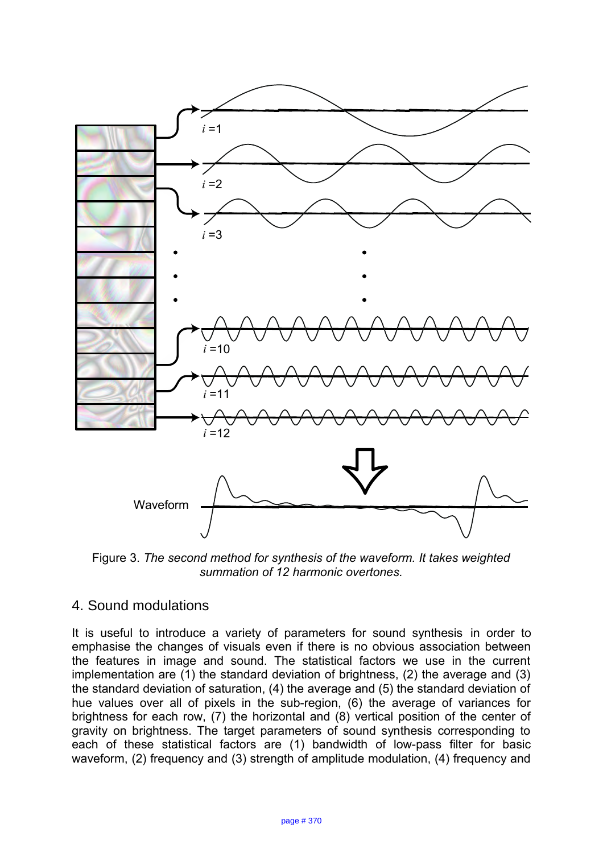

Figure 3. *The second method for synthesis of the waveform. It takes weighted summation of 12 harmonic overtones.*

# 4. Sound modulations

It is useful to introduce a variety of parameters for sound synthesis in order to emphasise the changes of visuals even if there is no obvious association between the features in image and sound. The statistical factors we use in the current implementation are (1) the standard deviation of brightness, (2) the average and (3) the standard deviation of saturation, (4) the average and (5) the standard deviation of hue values over all of pixels in the sub-region, (6) the average of variances for brightness for each row, (7) the horizontal and (8) vertical position of the center of gravity on brightness. The target parameters of sound synthesis corresponding to each of these statistical factors are (1) bandwidth of low-pass filter for basic waveform, (2) frequency and (3) strength of amplitude modulation, (4) frequency and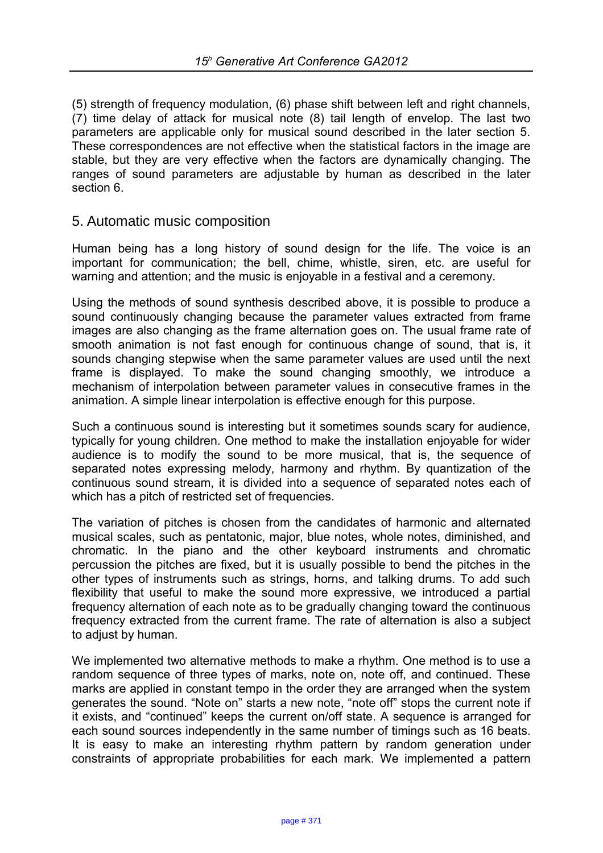(5) strength of frequency modulation, (6) phase shift between left and right channels, (7) time delay of attack for musical note (8) tail length of envelop. The last two parameters are applicable only for musical sound described in the later section 5. These correspondences are not effective when the statistical factors in the image are stable, but they are very effective when the factors are dynamically changing. The ranges of sound parameters are adjustable by human as described in the later section 6.

## 5. Automatic music composition

Human being has a long history of sound design for the life. The voice is an important for communication; the bell, chime, whistle, siren, etc. are useful for warning and attention; and the music is enjoyable in a festival and a ceremony.

Using the methods of sound synthesis described above, it is possible to produce a sound continuously changing because the parameter values extracted from frame images are also changing as the frame alternation goes on. The usual frame rate of smooth animation is not fast enough for continuous change of sound, that is, it sounds changing stepwise when the same parameter values are used until the next frame is displayed. To make the sound changing smoothly, we introduce a mechanism of interpolation between parameter values in consecutive frames in the animation. A simple linear interpolation is effective enough for this purpose.

Such a continuous sound is interesting but it sometimes sounds scary for audience, typically for young children. One method to make the installation enjoyable for wider audience is to modify the sound to be more musical, that is, the sequence of separated notes expressing melody, harmony and rhythm. By quantization of the continuous sound stream, it is divided into a sequence of separated notes each of which has a pitch of restricted set of frequencies.

The variation of pitches is chosen from the candidates of harmonic and alternated musical scales, such as pentatonic, major, blue notes, whole notes, diminished, and chromatic. In the piano and the other keyboard instruments and chromatic percussion the pitches are fixed, but it is usually possible to bend the pitches in the other types of instruments such as strings, horns, and talking drums. To add such flexibility that useful to make the sound more expressive, we introduced a partial frequency alternation of each note as to be gradually changing toward the continuous frequency extracted from the current frame. The rate of alternation is also a subject to adjust by human.

We implemented two alternative methods to make a rhythm. One method is to use a random sequence of three types of marks, note on, note off, and continued. These marks are applied in constant tempo in the order they are arranged when the system generates the sound. "Note on" starts a new note, "note off" stops the current note if it exists, and "continued" keeps the current on/off state. A sequence is arranged for each sound sources independently in the same number of timings such as 16 beats. It is easy to make an interesting rhythm pattern by random generation under constraints of appropriate probabilities for each mark. We implemented a pattern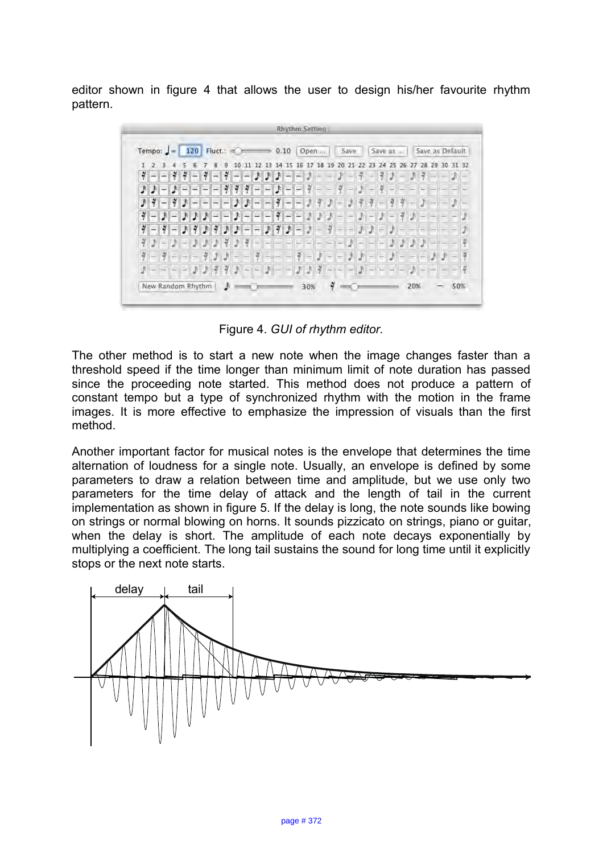editor shown in figure 4 that allows the user to design his/her favourite rhythm pattern.



Figure 4. *GUI of rhythm editor.*

The other method is to start a new note when the image changes faster than a threshold speed if the time longer than minimum limit of note duration has passed since the proceeding note started. This method does not produce a pattern of constant tempo but a type of synchronized rhythm with the motion in the frame images. It is more effective to emphasize the impression of visuals than the first method.

Another important factor for musical notes is the envelope that determines the time alternation of loudness for a single note. Usually, an envelope is defined by some parameters to draw a relation between time and amplitude, but we use only two parameters for the time delay of attack and the length of tail in the current implementation as shown in figure 5. If the delay is long, the note sounds like bowing on strings or normal blowing on horns. It sounds pizzicato on strings, piano or guitar, when the delay is short. The amplitude of each note decays exponentially by multiplying a coefficient. The long tail sustains the sound for long time until it explicitly stops or the next note starts.

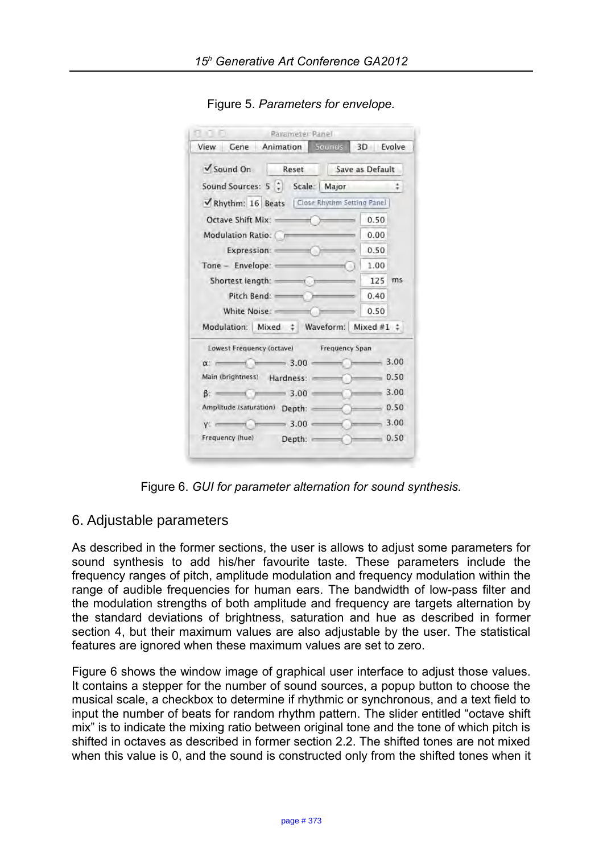| Gene Animation Sounds<br>View                             | 3D Evolve |         |
|-----------------------------------------------------------|-----------|---------|
| $\sqrt{\frac{1}{2}}$ Sound On<br>Reset<br>Save as Default |           |         |
| Sound Sources: 5   Scale:   Major                         |           | ÷       |
| Rhythm: 16 Beats   Close Rhythm Setting Panel             |           |         |
| Octave Shift Mix: (2008)                                  | 0.50      |         |
| Modulation Ratio: Company                                 | 0.00      | ms      |
| Expression:                                               | 0.50      |         |
| Tone - Envelope:                                          | 1.00      |         |
| Shortest length:                                          | 125       |         |
| Pitch Bend:                                               | 0.40      |         |
| White Noise:                                              | 0.50      |         |
| Modulation: Mixed : Waveform: Mixed #1 :                  |           |         |
| Lowest Frequency (octave) Frequency Span                  |           |         |
| $\alpha$ 3.00                                             | $-3.00$   |         |
| Main (brightness) Hardness:                               |           | 0.50    |
| $\beta$ : 3.00 $\rightarrow$                              | $-3.00$   |         |
| Amplitude (saturation) Depth:                             | $-0.50$   |         |
| $y:$ 3.00                                                 |           | $-3.00$ |
| Depth: $\sim$ 0.50<br>Frequency (hue)                     |           |         |

Figure 5. *Parameters for envelope.*

Figure 6. *GUI for parameter alternation for sound synthesis.*

# 6. Adjustable parameters

As described in the former sections, the user is allows to adjust some parameters for sound synthesis to add his/her favourite taste. These parameters include the frequency ranges of pitch, amplitude modulation and frequency modulation within the range of audible frequencies for human ears. The bandwidth of low-pass filter and the modulation strengths of both amplitude and frequency are targets alternation by the standard deviations of brightness, saturation and hue as described in former section 4, but their maximum values are also adjustable by the user. The statistical features are ignored when these maximum values are set to zero.

Figure 6 shows the window image of graphical user interface to adjust those values. It contains a stepper for the number of sound sources, a popup button to choose the musical scale, a checkbox to determine if rhythmic or synchronous, and a text field to input the number of beats for random rhythm pattern. The slider entitled "octave shift mix" is to indicate the mixing ratio between original tone and the tone of which pitch is shifted in octaves as described in former section 2.2. The shifted tones are not mixed when this value is 0, and the sound is constructed only from the shifted tones when it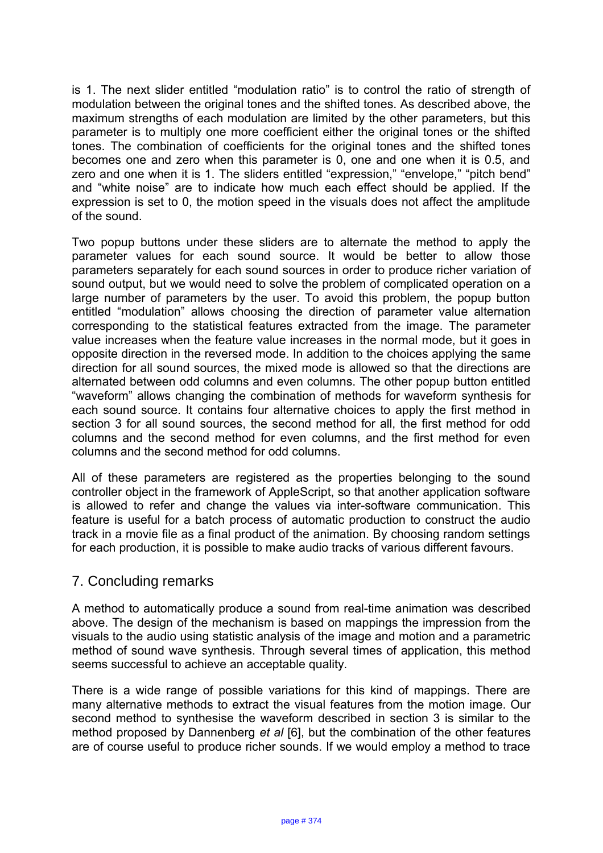is 1. The next slider entitled "modulation ratio" is to control the ratio of strength of modulation between the original tones and the shifted tones. As described above, the maximum strengths of each modulation are limited by the other parameters, but this parameter is to multiply one more coefficient either the original tones or the shifted tones. The combination of coefficients for the original tones and the shifted tones becomes one and zero when this parameter is 0, one and one when it is 0.5, and zero and one when it is 1. The sliders entitled "expression," "envelope," "pitch bend" and "white noise" are to indicate how much each effect should be applied. If the expression is set to 0, the motion speed in the visuals does not affect the amplitude of the sound.

Two popup buttons under these sliders are to alternate the method to apply the parameter values for each sound source. It would be better to allow those parameters separately for each sound sources in order to produce richer variation of sound output, but we would need to solve the problem of complicated operation on a large number of parameters by the user. To avoid this problem, the popup button entitled "modulation" allows choosing the direction of parameter value alternation corresponding to the statistical features extracted from the image. The parameter value increases when the feature value increases in the normal mode, but it goes in opposite direction in the reversed mode. In addition to the choices applying the same direction for all sound sources, the mixed mode is allowed so that the directions are alternated between odd columns and even columns. The other popup button entitled "waveform" allows changing the combination of methods for waveform synthesis for each sound source. It contains four alternative choices to apply the first method in section 3 for all sound sources, the second method for all, the first method for odd columns and the second method for even columns, and the first method for even columns and the second method for odd columns.

All of these parameters are registered as the properties belonging to the sound controller object in the framework of AppleScript, so that another application software is allowed to refer and change the values via inter-software communication. This feature is useful for a batch process of automatic production to construct the audio track in a movie file as a final product of the animation. By choosing random settings for each production, it is possible to make audio tracks of various different favours.

# 7. Concluding remarks

A method to automatically produce a sound from real-time animation was described above. The design of the mechanism is based on mappings the impression from the visuals to the audio using statistic analysis of the image and motion and a parametric method of sound wave synthesis. Through several times of application, this method seems successful to achieve an acceptable quality.

There is a wide range of possible variations for this kind of mappings. There are many alternative methods to extract the visual features from the motion image. Our second method to synthesise the waveform described in section 3 is similar to the method proposed by Dannenberg *et al* [6], but the combination of the other features are of course useful to produce richer sounds. If we would employ a method to trace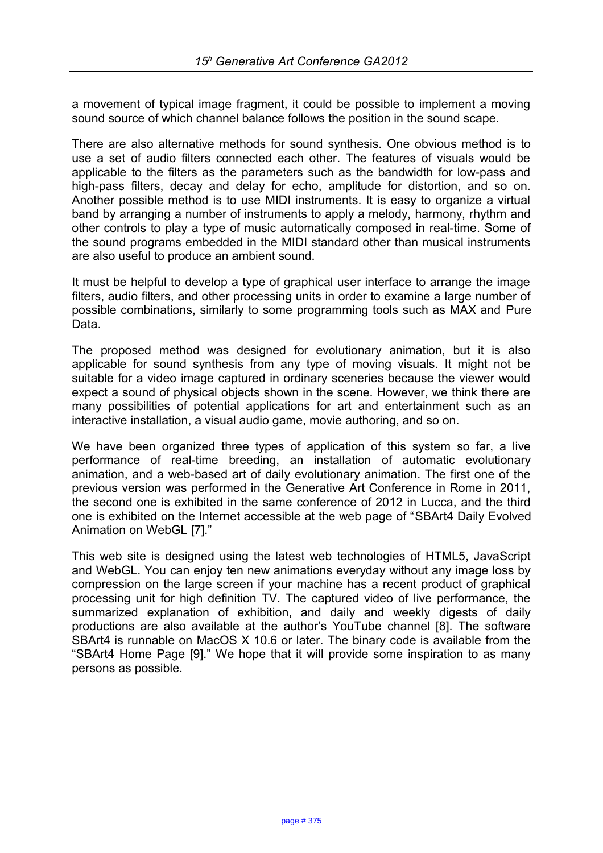a movement of typical image fragment, it could be possible to implement a moving sound source of which channel balance follows the position in the sound scape.

There are also alternative methods for sound synthesis. One obvious method is to use a set of audio filters connected each other. The features of visuals would be applicable to the filters as the parameters such as the bandwidth for low-pass and high-pass filters, decay and delay for echo, amplitude for distortion, and so on. Another possible method is to use MIDI instruments. It is easy to organize a virtual band by arranging a number of instruments to apply a melody, harmony, rhythm and other controls to play a type of music automatically composed in real-time. Some of the sound programs embedded in the MIDI standard other than musical instruments are also useful to produce an ambient sound.

It must be helpful to develop a type of graphical user interface to arrange the image filters, audio filters, and other processing units in order to examine a large number of possible combinations, similarly to some programming tools such as MAX and Pure Data.

The proposed method was designed for evolutionary animation, but it is also applicable for sound synthesis from any type of moving visuals. It might not be suitable for a video image captured in ordinary sceneries because the viewer would expect a sound of physical objects shown in the scene. However, we think there are many possibilities of potential applications for art and entertainment such as an interactive installation, a visual audio game, movie authoring, and so on.

We have been organized three types of application of this system so far, a live performance of real-time breeding, an installation of automatic evolutionary animation, and a web-based art of daily evolutionary animation. The first one of the previous version was performed in the Generative Art Conference in Rome in 2011, the second one is exhibited in the same conference of 2012 in Lucca, and the third one is exhibited on the Internet accessible at the web page of "SBArt4 Daily Evolved Animation on WebGL [7]."

This web site is designed using the latest web technologies of HTML5, JavaScript and WebGL. You can enjoy ten new animations everyday without any image loss by compression on the large screen if your machine has a recent product of graphical processing unit for high definition TV. The captured video of live performance, the summarized explanation of exhibition, and daily and weekly digests of daily productions are also available at the author's YouTube channel [8]. The software SBArt4 is runnable on MacOS X 10.6 or later. The binary code is available from the "SBArt4 Home Page [9]." We hope that it will provide some inspiration to as many persons as possible.